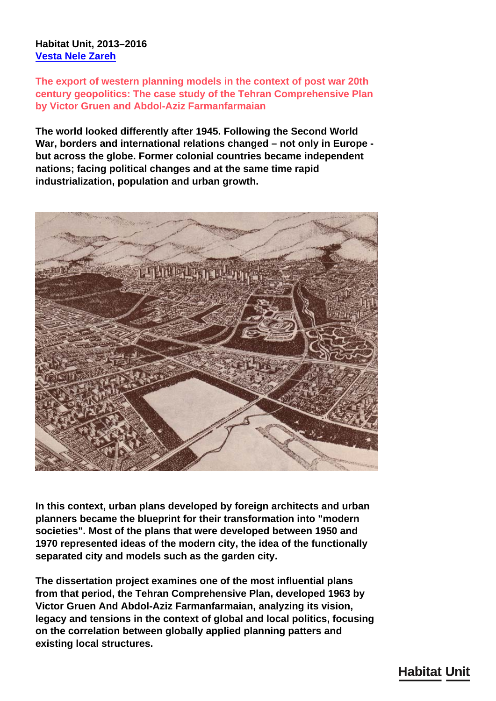## **Habitat Unit, 2013–2016 [Vesta Nele Zareh](/en/team/vesta-nele-zareh/)**

**The export of western planning models in the context of post war 20th century geopolitics: The case study of the Tehran Comprehensive Plan by Victor Gruen and Abdol-Aziz Farmanfarmaian**

**The world looked differently after 1945. Following the Second World War, borders and international relations changed – not only in Europe but across the globe. Former colonial countries became independent nations; facing political changes and at the same time rapid industrialization, population and urban growth.**



**In this context, urban plans developed by foreign architects and urban planners became the blueprint for their transformation into "modern societies". Most of the plans that were developed between 1950 and 1970 represented ideas of the modern city, the idea of the functionally separated city and models such as the garden city.**

**The dissertation project examines one of the most influential plans from that period, the Tehran Comprehensive Plan, developed 1963 by Victor Gruen And Abdol-Aziz Farmanfarmaian, analyzing its vision, legacy and tensions in the context of global and local politics, focusing on the correlation between globally applied planning patters and existing local structures.**

## **Habitat Unit**